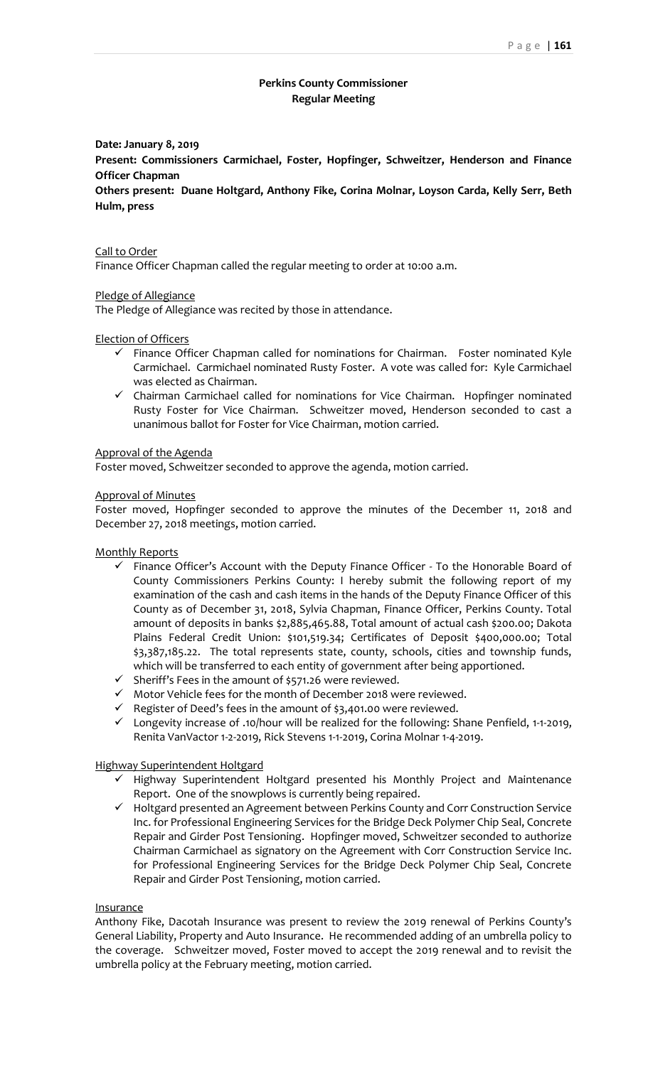# **Perkins County Commissioner Regular Meeting**

# **Date: January 8, 2019**

**Present: Commissioners Carmichael, Foster, Hopfinger, Schweitzer, Henderson and Finance Officer Chapman**

**Others present: Duane Holtgard, Anthony Fike, Corina Molnar, Loyson Carda, Kelly Serr, Beth Hulm, press**

#### Call to Order

Finance Officer Chapman called the regular meeting to order at 10:00 a.m.

## Pledge of Allegiance

The Pledge of Allegiance was recited by those in attendance.

#### Election of Officers

- ✓ Finance Officer Chapman called for nominations for Chairman. Foster nominated Kyle Carmichael. Carmichael nominated Rusty Foster. A vote was called for: Kyle Carmichael was elected as Chairman.
- ✓ Chairman Carmichael called for nominations for Vice Chairman. Hopfinger nominated Rusty Foster for Vice Chairman. Schweitzer moved, Henderson seconded to cast a unanimous ballot for Foster for Vice Chairman, motion carried.

## Approval of the Agenda

Foster moved, Schweitzer seconded to approve the agenda, motion carried.

## Approval of Minutes

Foster moved, Hopfinger seconded to approve the minutes of the December 11, 2018 and December 27, 2018 meetings, motion carried.

Monthly Reports

- ✓ Finance Officer's Account with the Deputy Finance Officer To the Honorable Board of County Commissioners Perkins County: I hereby submit the following report of my examination of the cash and cash items in the hands of the Deputy Finance Officer of this County as of December 31, 2018, Sylvia Chapman, Finance Officer, Perkins County. Total amount of deposits in banks \$2,885,465.88, Total amount of actual cash \$200.00; Dakota Plains Federal Credit Union: \$101,519.34; Certificates of Deposit \$400,000.00; Total \$3,387,185.22. The total represents state, county, schools, cities and township funds, which will be transferred to each entity of government after being apportioned.
- ✓ Sheriff's Fees in the amount of \$571.26 were reviewed.
- $\checkmark$  Motor Vehicle fees for the month of December 2018 were reviewed.
- $\checkmark$  Register of Deed's fees in the amount of \$3,401.00 were reviewed.
- $\checkmark$  Longevity increase of .10/hour will be realized for the following: Shane Penfield, 1-1-2019, Renita VanVactor 1-2-2019, Rick Stevens 1-1-2019, Corina Molnar 1-4-2019.

## Highway Superintendent Holtgard

- ✓ Highway Superintendent Holtgard presented his Monthly Project and Maintenance Report. One of the snowplows is currently being repaired.
- ✓ Holtgard presented an Agreement between Perkins County and Corr Construction Service Inc. for Professional Engineering Services for the Bridge Deck Polymer Chip Seal, Concrete Repair and Girder Post Tensioning. Hopfinger moved, Schweitzer seconded to authorize Chairman Carmichael as signatory on the Agreement with Corr Construction Service Inc. for Professional Engineering Services for the Bridge Deck Polymer Chip Seal, Concrete Repair and Girder Post Tensioning, motion carried.

#### **Insurance**

Anthony Fike, Dacotah Insurance was present to review the 2019 renewal of Perkins County's General Liability, Property and Auto Insurance. He recommended adding of an umbrella policy to the coverage. Schweitzer moved, Foster moved to accept the 2019 renewal and to revisit the umbrella policy at the February meeting, motion carried.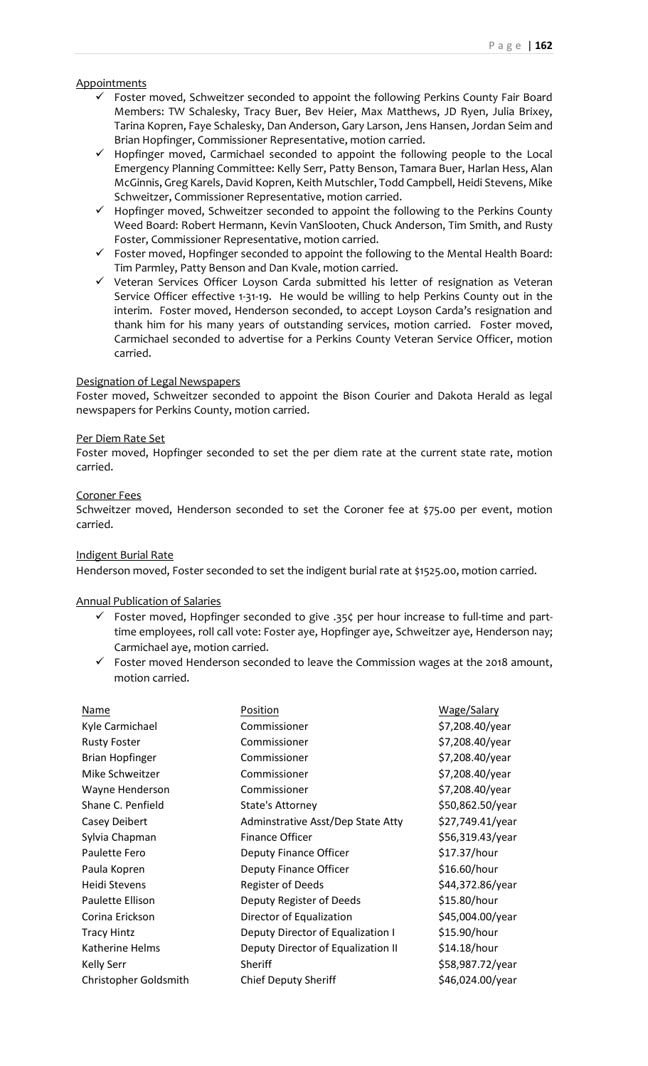# **Appointments**

- ✓ Foster moved, Schweitzer seconded to appoint the following Perkins County Fair Board Members: TW Schalesky, Tracy Buer, Bev Heier, Max Matthews, JD Ryen, Julia Brixey, Tarina Kopren, Faye Schalesky, Dan Anderson, Gary Larson, Jens Hansen, Jordan Seim and Brian Hopfinger, Commissioner Representative, motion carried.
- ✓ Hopfinger moved, Carmichael seconded to appoint the following people to the Local Emergency Planning Committee: Kelly Serr, Patty Benson, Tamara Buer, Harlan Hess, Alan McGinnis, Greg Karels, David Kopren, Keith Mutschler, Todd Campbell, Heidi Stevens, Mike Schweitzer, Commissioner Representative, motion carried.
- ✓ Hopfinger moved, Schweitzer seconded to appoint the following to the Perkins County Weed Board: Robert Hermann, Kevin VanSlooten, Chuck Anderson, Tim Smith, and Rusty Foster, Commissioner Representative, motion carried.
- ✓ Foster moved, Hopfinger seconded to appoint the following to the Mental Health Board: Tim Parmley, Patty Benson and Dan Kvale, motion carried.
- ✓ Veteran Services Officer Loyson Carda submitted his letter of resignation as Veteran Service Officer effective 1-31-19. He would be willing to help Perkins County out in the interim. Foster moved, Henderson seconded, to accept Loyson Carda's resignation and thank him for his many years of outstanding services, motion carried. Foster moved, Carmichael seconded to advertise for a Perkins County Veteran Service Officer, motion carried.

# Designation of Legal Newspapers

Foster moved, Schweitzer seconded to appoint the Bison Courier and Dakota Herald as legal newspapers for Perkins County, motion carried.

## Per Diem Rate Set

Foster moved, Hopfinger seconded to set the per diem rate at the current state rate, motion carried.

# Coroner Fees

Schweitzer moved, Henderson seconded to set the Coroner fee at \$75.00 per event, motion carried.

# Indigent Burial Rate

Henderson moved, Foster seconded to set the indigent burial rate at \$1525.00, motion carried.

# Annual Publication of Salaries

- ✓ Foster moved, Hopfinger seconded to give .35¢ per hour increase to full-time and parttime employees, roll call vote: Foster aye, Hopfinger aye, Schweitzer aye, Henderson nay; Carmichael aye, motion carried.
- ✓ Foster moved Henderson seconded to leave the Commission wages at the 2018 amount, motion carried.

| Name                   | Position                           | Wage/Salary      |
|------------------------|------------------------------------|------------------|
| Kyle Carmichael        | Commissioner                       | \$7,208.40/year  |
| <b>Rusty Foster</b>    | Commissioner                       | \$7,208.40/year  |
| <b>Brian Hopfinger</b> | Commissioner                       | \$7,208.40/year  |
| Mike Schweitzer        | Commissioner                       | \$7,208.40/year  |
| Wayne Henderson        | Commissioner                       | \$7,208.40/year  |
| Shane C. Penfield      | State's Attorney                   | \$50,862.50/year |
| Casey Deibert          | Adminstrative Asst/Dep State Atty  | \$27,749.41/year |
| Sylvia Chapman         | Finance Officer                    | \$56,319.43/year |
| Paulette Fero          | Deputy Finance Officer             | \$17.37/hour     |
| Paula Kopren           | Deputy Finance Officer             | \$16.60/hour     |
| Heidi Stevens          | <b>Register of Deeds</b>           | \$44,372.86/year |
| Paulette Ellison       | Deputy Register of Deeds           | \$15.80/hour     |
| Corina Erickson        | Director of Equalization           | \$45,004.00/year |
| <b>Tracy Hintz</b>     | Deputy Director of Equalization I  | \$15.90/hour     |
| Katherine Helms        | Deputy Director of Equalization II | \$14.18/hour     |
| Kelly Serr             | Sheriff                            | \$58,987.72/year |
| Christopher Goldsmith  | <b>Chief Deputy Sheriff</b>        | \$46,024.00/year |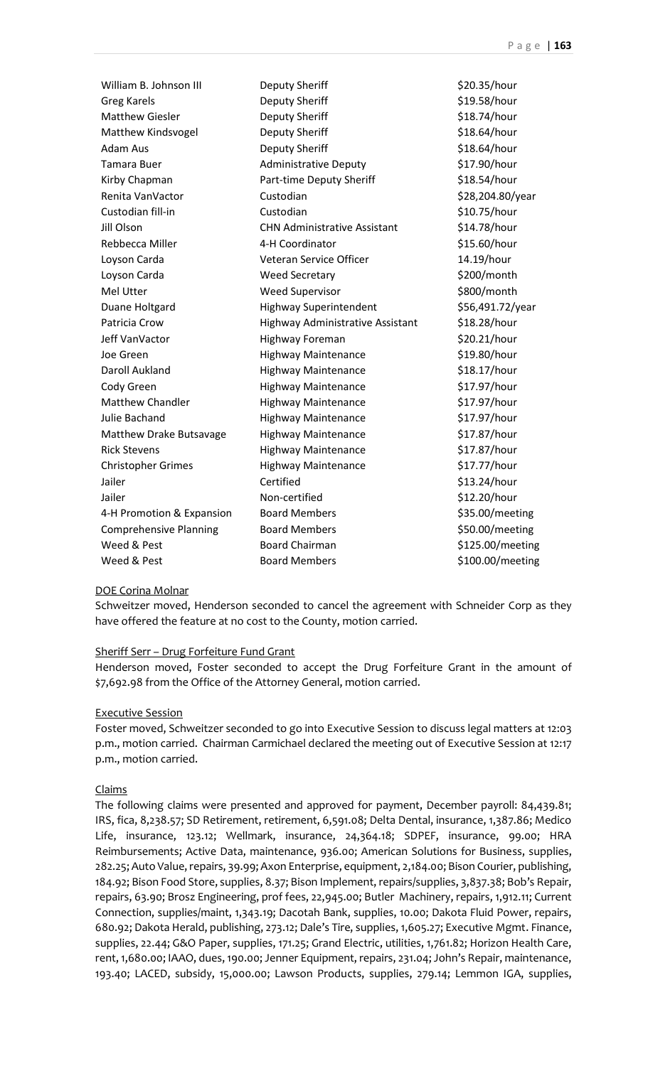| William B. Johnson III        | <b>Deputy Sheriff</b>               | \$20.35/hour     |
|-------------------------------|-------------------------------------|------------------|
| <b>Greg Karels</b>            | Deputy Sheriff                      | \$19.58/hour     |
| <b>Matthew Giesler</b>        | Deputy Sheriff                      | \$18.74/hour     |
| Matthew Kindsvogel            | <b>Deputy Sheriff</b>               | \$18.64/hour     |
| <b>Adam Aus</b>               | Deputy Sheriff                      | \$18.64/hour     |
| Tamara Buer                   | <b>Administrative Deputy</b>        | \$17.90/hour     |
| Kirby Chapman                 | Part-time Deputy Sheriff            | \$18.54/hour     |
| Renita VanVactor              | Custodian                           | \$28,204.80/year |
| Custodian fill-in             | Custodian                           | \$10.75/hour     |
| Jill Olson                    | <b>CHN Administrative Assistant</b> | \$14.78/hour     |
| Rebbecca Miller               | 4-H Coordinator                     | \$15.60/hour     |
| Loyson Carda                  | Veteran Service Officer             | 14.19/hour       |
| Loyson Carda                  | <b>Weed Secretary</b>               | \$200/month      |
| Mel Utter                     | <b>Weed Supervisor</b>              | \$800/month      |
| Duane Holtgard                | <b>Highway Superintendent</b>       | \$56,491.72/year |
| Patricia Crow                 | Highway Administrative Assistant    | \$18.28/hour     |
| Jeff VanVactor                | Highway Foreman                     | \$20.21/hour     |
| Joe Green                     | <b>Highway Maintenance</b>          | \$19.80/hour     |
| Daroll Aukland                | <b>Highway Maintenance</b>          | \$18.17/hour     |
| Cody Green                    | <b>Highway Maintenance</b>          | \$17.97/hour     |
| <b>Matthew Chandler</b>       | <b>Highway Maintenance</b>          | \$17.97/hour     |
| Julie Bachand                 | <b>Highway Maintenance</b>          | \$17.97/hour     |
| Matthew Drake Butsavage       | Highway Maintenance                 | \$17.87/hour     |
| <b>Rick Stevens</b>           | <b>Highway Maintenance</b>          | \$17.87/hour     |
| <b>Christopher Grimes</b>     | <b>Highway Maintenance</b>          | \$17.77/hour     |
| Jailer                        | Certified                           | \$13.24/hour     |
| Jailer                        | Non-certified                       | \$12.20/hour     |
| 4-H Promotion & Expansion     | <b>Board Members</b>                | \$35.00/meeting  |
| <b>Comprehensive Planning</b> | <b>Board Members</b>                | \$50.00/meeting  |
| Weed & Pest                   | <b>Board Chairman</b>               | \$125.00/meeting |
| Weed & Pest                   | <b>Board Members</b>                | \$100.00/meeting |

## DOE Corina Molnar

Schweitzer moved, Henderson seconded to cancel the agreement with Schneider Corp as they have offered the feature at no cost to the County, motion carried.

#### Sheriff Serr – Drug Forfeiture Fund Grant

Henderson moved, Foster seconded to accept the Drug Forfeiture Grant in the amount of \$7,692.98 from the Office of the Attorney General, motion carried.

## Executive Session

Foster moved, Schweitzer seconded to go into Executive Session to discuss legal matters at 12:03 p.m., motion carried. Chairman Carmichael declared the meeting out of Executive Session at 12:17 p.m., motion carried.

## Claims

The following claims were presented and approved for payment, December payroll: 84,439.81; IRS, fica, 8,238.57; SD Retirement, retirement, 6,591.08; Delta Dental, insurance, 1,387.86; Medico Life, insurance, 123.12; Wellmark, insurance, 24,364.18; SDPEF, insurance, 99.00; HRA Reimbursements; Active Data, maintenance, 936.00; American Solutions for Business, supplies, 282.25; Auto Value, repairs, 39.99; Axon Enterprise, equipment, 2,184.00; Bison Courier, publishing, 184.92; Bison Food Store, supplies, 8.37; Bison Implement, repairs/supplies, 3,837.38; Bob's Repair, repairs, 63.90; Brosz Engineering, prof fees, 22,945.00; Butler Machinery, repairs, 1,912.11; Current Connection, supplies/maint, 1,343.19; Dacotah Bank, supplies, 10.00; Dakota Fluid Power, repairs, 680.92; Dakota Herald, publishing, 273.12; Dale's Tire, supplies, 1,605.27; Executive Mgmt. Finance, supplies, 22.44; G&O Paper, supplies, 171.25; Grand Electric, utilities, 1,761.82; Horizon Health Care, rent, 1,680.00; IAAO, dues, 190.00; Jenner Equipment, repairs, 231.04; John's Repair, maintenance, 193.40; LACED, subsidy, 15,000.00; Lawson Products, supplies, 279.14; Lemmon IGA, supplies,